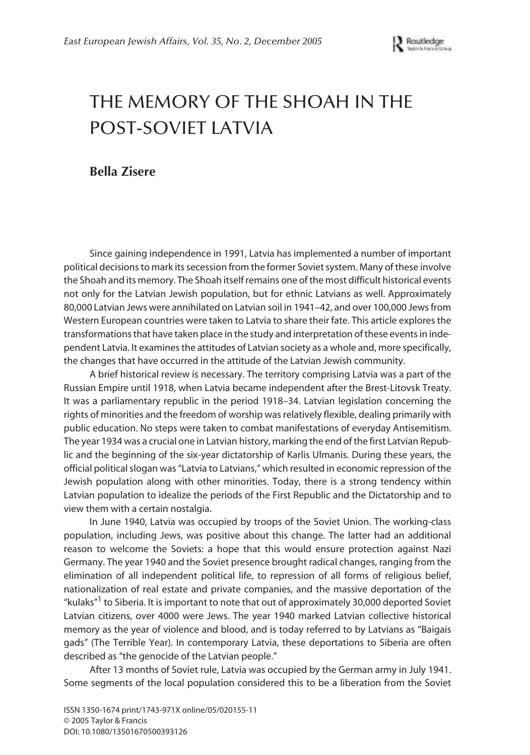# THE MEMORY OF THE SHOAH IN THE POST-SOVIET LATVIA

## **Bella Zisere**

Since gaining independence in 1991, Latvia has implemented a number of important political decisions to mark its secession from the former Soviet system. Many of these involve the Shoah and its memory. The Shoah itself remains one of the most difficult historical events not only for the Latvian Jewish population, but for ethnic Latvians as well. Approximately 80,000 Latvian Jews were annihilated on Latvian soil in 1941–42, and over 100,000 Jews from Western European countries were taken to Latvia to share their fate. This article explores the transformations that have taken place in the study and interpretation of these events in independent Latvia. It examines the attitudes of Latvian society as a whole and, more specifically, the changes that have occurred in the attitude of the Latvian Jewish community.

A brief historical review is necessary. The territory comprising Latvia was a part of the Russian Empire until 1918, when Latvia became independent after the Brest-Litovsk Treaty. It was a parliamentary republic in the period 1918–34. Latvian legislation concerning the rights of minorities and the freedom of worship was relatively flexible, dealing primarily with public education. No steps were taken to combat manifestations of everyday Antisemitism. The year 1934 was a crucial one in Latvian history, marking the end of the first Latvian Republic and the beginning of the six-year dictatorship of Karlis Ulmanis. During these years, the official political slogan was "Latvia to Latvians," which resulted in economic repression of the Jewish population along with other minorities. Today, there is a strong tendency within Latvian population to idealize the periods of the First Republic and the Dictatorship and to view them with a certain nostalgia.

In June 1940, Latvia was occupied by troops of the Soviet Union. The working-class population, including Jews, was positive about this change. The latter had an additional reason to welcome the Soviets: a hope that this would ensure protection against Nazi Germany. The year 1940 and the Soviet presence brought radical changes, ranging from the elimination of all independent political life, to repression of all forms of religious belief, nationalization of real estate and private companies, and the massive deportation of the "kulaks"<sup>1</sup> to Siberia. It is important to note that out of approximately 30,000 deported Soviet Latvian citizens, over 4000 were Jews. The year 1940 marked Latvian collective historical memory as the year of violence and blood, and is today referred to by Latvians as "Baigais gads" (The Terrible Year). In contemporary Latvia, these deportations to Siberia are often described as "the genocide of the Latvian people."

After 13 months of Soviet rule, Latvia was occupied by the German army in July 1941. Some segments of the local population considered this to be a liberation from the Soviet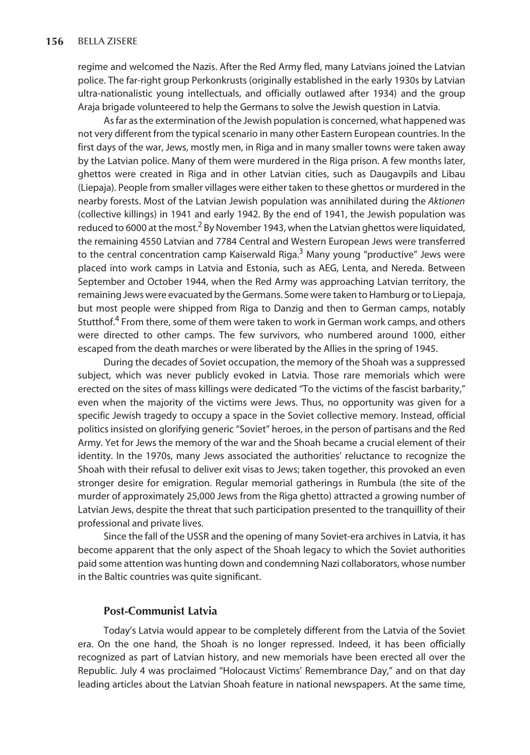regime and welcomed the Nazis. After the Red Army fled, many Latvians joined the Latvian police. The far-right group Perkonkrusts (originally established in the early 1930s by Latvian ultra-nationalistic young intellectuals, and officially outlawed after 1934) and the group Araja brigade volunteered to help the Germans to solve the Jewish question in Latvia.

As far as the extermination of the Jewish population is concerned, what happened was not very different from the typical scenario in many other Eastern European countries. In the first days of the war, Jews, mostly men, in Riga and in many smaller towns were taken away by the Latvian police. Many of them were murdered in the Riga prison. A few months later, ghettos were created in Riga and in other Latvian cities, such as Daugavpils and Libau (Liepaja). People from smaller villages were either taken to these ghettos or murdered in the nearby forests. Most of the Latvian Jewish population was annihilated during the *Aktionen* (collective killings) in 1941 and early 1942. By the end of 1941, the Jewish population was reduced to 6000 at the most.<sup>2</sup> By November 1943, when the Latvian ghettos were liquidated, the remaining 4550 Latvian and 7784 Central and Western European Jews were transferred to the central concentration camp Kaiserwald Riga. $3$  Many young "productive" Jews were placed into work camps in Latvia and Estonia, such as AEG, Lenta, and Nereda. Between September and October 1944, when the Red Army was approaching Latvian territory, the remaining Jews were evacuated by the Germans. Some were taken to Hamburg or to Liepaja, but most people were shipped from Riga to Danzig and then to German camps, notably Stutthof.<sup>4</sup> From there, some of them were taken to work in German work camps, and others were directed to other camps. The few survivors, who numbered around 1000, either escaped from the death marches or were liberated by the Allies in the spring of 1945.

During the decades of Soviet occupation, the memory of the Shoah was a suppressed subject, which was never publicly evoked in Latvia. Those rare memorials which were erected on the sites of mass killings were dedicated "To the victims of the fascist barbarity," even when the majority of the victims were Jews. Thus, no opportunity was given for a specific Jewish tragedy to occupy a space in the Soviet collective memory. Instead, official politics insisted on glorifying generic "Soviet" heroes, in the person of partisans and the Red Army. Yet for Jews the memory of the war and the Shoah became a crucial element of their identity. In the 1970s, many Jews associated the authorities' reluctance to recognize the Shoah with their refusal to deliver exit visas to Jews; taken together, this provoked an even stronger desire for emigration. Regular memorial gatherings in Rumbula (the site of the murder of approximately 25,000 Jews from the Riga ghetto) attracted a growing number of Latvian Jews, despite the threat that such participation presented to the tranquillity of their professional and private lives.

Since the fall of the USSR and the opening of many Soviet-era archives in Latvia, it has become apparent that the only aspect of the Shoah legacy to which the Soviet authorities paid some attention was hunting down and condemning Nazi collaborators, whose number in the Baltic countries was quite significant.

#### **Post-Communist Latvia**

Today's Latvia would appear to be completely different from the Latvia of the Soviet era. On the one hand, the Shoah is no longer repressed. Indeed, it has been officially recognized as part of Latvian history, and new memorials have been erected all over the Republic. July 4 was proclaimed "Holocaust Victims' Remembrance Day," and on that day leading articles about the Latvian Shoah feature in national newspapers. At the same time,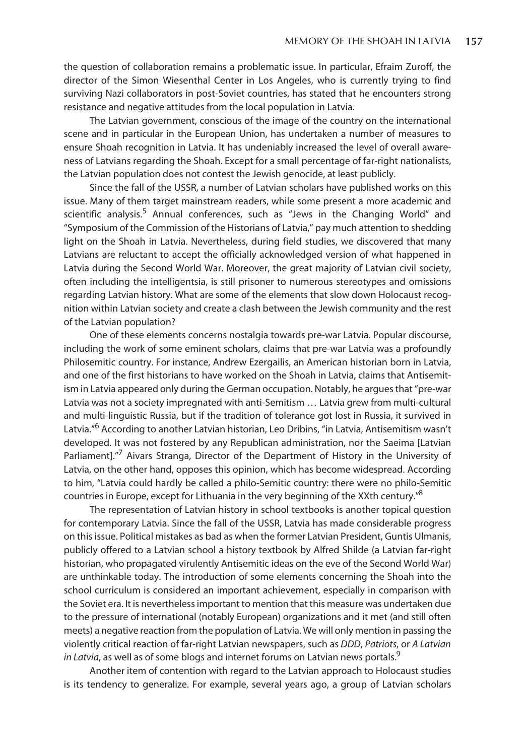the question of collaboration remains a problematic issue. In particular, Efraim Zuroff, the director of the Simon Wiesenthal Center in Los Angeles, who is currently trying to find surviving Nazi collaborators in post-Soviet countries, has stated that he encounters strong resistance and negative attitudes from the local population in Latvia.

The Latvian government, conscious of the image of the country on the international scene and in particular in the European Union, has undertaken a number of measures to ensure Shoah recognition in Latvia. It has undeniably increased the level of overall awareness of Latvians regarding the Shoah. Except for a small percentage of far-right nationalists, the Latvian population does not contest the Jewish genocide, at least publicly.

Since the fall of the USSR, a number of Latvian scholars have published works on this issue. Many of them target mainstream readers, while some present a more academic and scientific analysis.<sup>5</sup> Annual conferences, such as "Jews in the Changing World" and "Symposium of the Commission of the Historians of Latvia," pay much attention to shedding light on the Shoah in Latvia. Nevertheless, during field studies, we discovered that many Latvians are reluctant to accept the officially acknowledged version of what happened in Latvia during the Second World War. Moreover, the great majority of Latvian civil society, often including the intelligentsia, is still prisoner to numerous stereotypes and omissions regarding Latvian history. What are some of the elements that slow down Holocaust recognition within Latvian society and create a clash between the Jewish community and the rest of the Latvian population?

One of these elements concerns nostalgia towards pre-war Latvia. Popular discourse, including the work of some eminent scholars, claims that pre-war Latvia was a profoundly Philosemitic country. For instance, Andrew Ezergailis, an American historian born in Latvia, and one of the first historians to have worked on the Shoah in Latvia, claims that Antisemitism in Latvia appeared only during the German occupation. Notably, he argues that "pre-war Latvia was not a society impregnated with anti-Semitism … Latvia grew from multi-cultural and multi-linguistic Russia, but if the tradition of tolerance got lost in Russia, it survived in Latvia."<sup>6</sup> According to another Latvian historian, Leo Dribins, "in Latvia, Antisemitism wasn't developed. It was not fostered by any Republican administration, nor the Saeima [Latvian Parliament]."7 Aivars Stranga, Director of the Department of History in the University of Latvia, on the other hand, opposes this opinion, which has become widespread. According to him, "Latvia could hardly be called a philo-Semitic country: there were no philo-Semitic countries in Europe, except for Lithuania in the very beginning of the XXth century."8

The representation of Latvian history in school textbooks is another topical question for contemporary Latvia. Since the fall of the USSR, Latvia has made considerable progress on this issue. Political mistakes as bad as when the former Latvian President, Guntis Ulmanis, publicly offered to a Latvian school a history textbook by Alfred Shilde (a Latvian far-right historian, who propagated virulently Antisemitic ideas on the eve of the Second World War) are unthinkable today. The introduction of some elements concerning the Shoah into the school curriculum is considered an important achievement, especially in comparison with the Soviet era. It is nevertheless important to mention that this measure was undertaken due to the pressure of international (notably European) organizations and it met (and still often meets) a negative reaction from the population of Latvia. We will only mention in passing the violently critical reaction of far-right Latvian newspapers, such as *DDD*, *Patriots*, or *A Latvian in Latvia*, as well as of some blogs and internet forums on Latvian news portals.<sup>9</sup>

Another item of contention with regard to the Latvian approach to Holocaust studies is its tendency to generalize. For example, several years ago, a group of Latvian scholars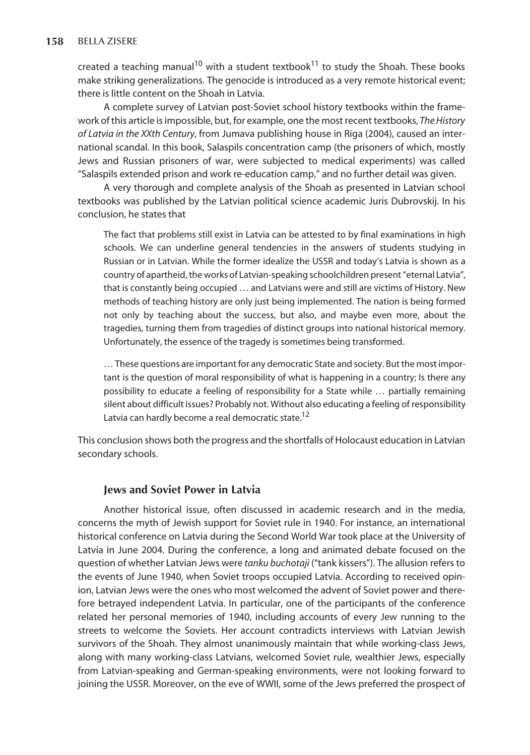created a teaching manual<sup>10</sup> with a student textbook<sup>11</sup> to study the Shoah. These books make striking generalizations. The genocide is introduced as a very remote historical event; there is little content on the Shoah in Latvia.

A complete survey of Latvian post-Soviet school history textbooks within the framework of this article is impossible, but, for example, one the most recent textbooks, *The History of Latvia in the XXth Century*, from Jumava publishing house in Riga (2004), caused an international scandal. In this book, Salaspils concentration camp (the prisoners of which, mostly Jews and Russian prisoners of war, were subjected to medical experiments) was called "Salaspils extended prison and work re-education camp," and no further detail was given.

A very thorough and complete analysis of the Shoah as presented in Latvian school textbooks was published by the Latvian political science academic Juris Dubrovskij. In his conclusion, he states that

The fact that problems still exist in Latvia can be attested to by final examinations in high schools. We can underline general tendencies in the answers of students studying in Russian or in Latvian. While the former idealize the USSR and today's Latvia is shown as a country of apartheid, the works of Latvian-speaking schoolchildren present "eternal Latvia", that is constantly being occupied … and Latvians were and still are victims of History. New methods of teaching history are only just being implemented. The nation is being formed not only by teaching about the success, but also, and maybe even more, about the tragedies, turning them from tragedies of distinct groups into national historical memory. Unfortunately, the essence of the tragedy is sometimes being transformed.

… These questions are important for any democratic State and society. But the most important is the question of moral responsibility of what is happening in a country; Is there any possibility to educate a feeling of responsibility for a State while … partially remaining silent about difficult issues? Probably not. Without also educating a feeling of responsibility Latvia can hardly become a real democratic state.<sup>12</sup>

This conclusion shows both the progress and the shortfalls of Holocaust education in Latvian secondary schools.

### **Jews and Soviet Power in Latvia**

Another historical issue, often discussed in academic research and in the media, concerns the myth of Jewish support for Soviet rule in 1940. For instance, an international historical conference on Latvia during the Second World War took place at the University of Latvia in June 2004. During the conference, a long and animated debate focused on the question of whether Latvian Jews were *tanku buchotaji* ("tank kissers"). The allusion refers to the events of June 1940, when Soviet troops occupied Latvia. According to received opinion, Latvian Jews were the ones who most welcomed the advent of Soviet power and therefore betrayed independent Latvia. In particular, one of the participants of the conference related her personal memories of 1940, including accounts of every Jew running to the streets to welcome the Soviets. Her account contradicts interviews with Latvian Jewish survivors of the Shoah. They almost unanimously maintain that while working-class Jews, along with many working-class Latvians, welcomed Soviet rule, wealthier Jews, especially from Latvian-speaking and German-speaking environments, were not looking forward to joining the USSR. Moreover, on the eve of WWII, some of the Jews preferred the prospect of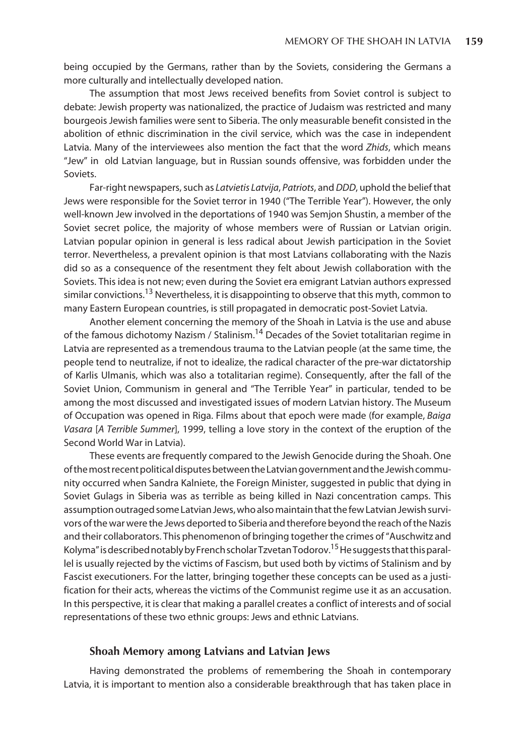being occupied by the Germans, rather than by the Soviets, considering the Germans a more culturally and intellectually developed nation.

The assumption that most Jews received benefits from Soviet control is subject to debate: Jewish property was nationalized, the practice of Judaism was restricted and many bourgeois Jewish families were sent to Siberia. The only measurable benefit consisted in the abolition of ethnic discrimination in the civil service, which was the case in independent Latvia. Many of the interviewees also mention the fact that the word *Zhids*, which means "Jew" in old Latvian language, but in Russian sounds offensive, was forbidden under the Soviets.

Far-right newspapers, such as *Latvietis Latvija*, *Patriots*, and *DDD*, uphold the belief that Jews were responsible for the Soviet terror in 1940 ("The Terrible Year"). However, the only well-known Jew involved in the deportations of 1940 was Semjon Shustin, a member of the Soviet secret police, the majority of whose members were of Russian or Latvian origin. Latvian popular opinion in general is less radical about Jewish participation in the Soviet terror. Nevertheless, a prevalent opinion is that most Latvians collaborating with the Nazis did so as a consequence of the resentment they felt about Jewish collaboration with the Soviets. This idea is not new; even during the Soviet era emigrant Latvian authors expressed similar convictions.<sup>13</sup> Nevertheless, it is disappointing to observe that this myth, common to many Eastern European countries, is still propagated in democratic post-Soviet Latvia.

Another element concerning the memory of the Shoah in Latvia is the use and abuse of the famous dichotomy Nazism / Stalinism.<sup>14</sup> Decades of the Soviet totalitarian regime in Latvia are represented as a tremendous trauma to the Latvian people (at the same time, the people tend to neutralize, if not to idealize, the radical character of the pre-war dictatorship of Karlis Ulmanis, which was also a totalitarian regime). Consequently, after the fall of the Soviet Union, Communism in general and "The Terrible Year" in particular, tended to be among the most discussed and investigated issues of modern Latvian history. The Museum of Occupation was opened in Riga. Films about that epoch were made (for example, *Baiga Vasara* [*A Terrible Summer*], 1999, telling a love story in the context of the eruption of the Second World War in Latvia).

These events are frequently compared to the Jewish Genocide during the Shoah. One of the most recent political disputes between the Latvian government and the Jewish community occurred when Sandra Kalniete, the Foreign Minister, suggested in public that dying in Soviet Gulags in Siberia was as terrible as being killed in Nazi concentration camps. This assumption outraged some Latvian Jews, who also maintain that the few Latvian Jewish survivors of the war were the Jews deported to Siberia and therefore beyond the reach of the Nazis and their collaborators. This phenomenon of bringing together the crimes of "Auschwitz and Kolyma" is described notably by French scholar Tzvetan Todorov.<sup>15</sup> He suggests that this parallel is usually rejected by the victims of Fascism, but used both by victims of Stalinism and by Fascist executioners. For the latter, bringing together these concepts can be used as a justification for their acts, whereas the victims of the Communist regime use it as an accusation. In this perspective, it is clear that making a parallel creates a conflict of interests and of social representations of these two ethnic groups: Jews and ethnic Latvians.

### **Shoah Memory among Latvians and Latvian Jews**

Having demonstrated the problems of remembering the Shoah in contemporary Latvia, it is important to mention also a considerable breakthrough that has taken place in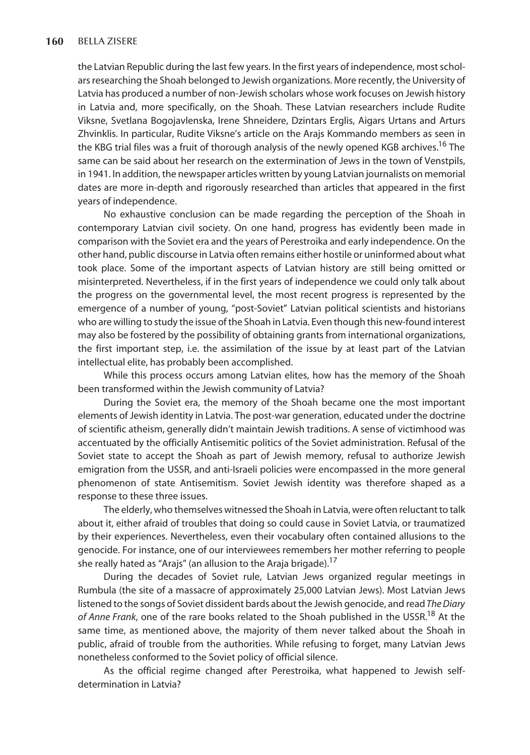the Latvian Republic during the last few years. In the first years of independence, most scholars researching the Shoah belonged to Jewish organizations. More recently, the University of Latvia has produced a number of non-Jewish scholars whose work focuses on Jewish history in Latvia and, more specifically, on the Shoah. These Latvian researchers include Rudite Viksne, Svetlana Bogojavlenska, Irene Shneidere, Dzintars Erglis, Aigars Urtans and Arturs Zhvinklis. In particular, Rudite Viksne's article on the Arajs Kommando members as seen in the KBG trial files was a fruit of thorough analysis of the newly opened KGB archives.<sup>16</sup> The same can be said about her research on the extermination of Jews in the town of Venstpils, in 1941. In addition, the newspaper articles written by young Latvian journalists on memorial dates are more in-depth and rigorously researched than articles that appeared in the first years of independence.

No exhaustive conclusion can be made regarding the perception of the Shoah in contemporary Latvian civil society. On one hand, progress has evidently been made in comparison with the Soviet era and the years of Perestroika and early independence. On the other hand, public discourse in Latvia often remains either hostile or uninformed about what took place. Some of the important aspects of Latvian history are still being omitted or misinterpreted. Nevertheless, if in the first years of independence we could only talk about the progress on the governmental level, the most recent progress is represented by the emergence of a number of young, "post-Soviet" Latvian political scientists and historians who are willing to study the issue of the Shoah in Latvia. Even though this new-found interest may also be fostered by the possibility of obtaining grants from international organizations, the first important step, i.e. the assimilation of the issue by at least part of the Latvian intellectual elite, has probably been accomplished.

While this process occurs among Latvian elites, how has the memory of the Shoah been transformed within the Jewish community of Latvia?

During the Soviet era, the memory of the Shoah became one the most important elements of Jewish identity in Latvia. The post-war generation, educated under the doctrine of scientific atheism, generally didn't maintain Jewish traditions. A sense of victimhood was accentuated by the officially Antisemitic politics of the Soviet administration. Refusal of the Soviet state to accept the Shoah as part of Jewish memory, refusal to authorize Jewish emigration from the USSR, and anti-Israeli policies were encompassed in the more general phenomenon of state Antisemitism. Soviet Jewish identity was therefore shaped as a response to these three issues.

The elderly, who themselves witnessed the Shoah in Latvia, were often reluctant to talk about it, either afraid of troubles that doing so could cause in Soviet Latvia, or traumatized by their experiences. Nevertheless, even their vocabulary often contained allusions to the genocide. For instance, one of our interviewees remembers her mother referring to people she really hated as "Arajs" (an allusion to the Araja brigade).<sup>17</sup>

During the decades of Soviet rule, Latvian Jews organized regular meetings in Rumbula (the site of a massacre of approximately 25,000 Latvian Jews). Most Latvian Jews listened to the songs of Soviet dissident bards about the Jewish genocide, and read *The Diary of Anne Frank*, one of the rare books related to the Shoah published in the USSR.18 At the same time, as mentioned above, the majority of them never talked about the Shoah in public, afraid of trouble from the authorities. While refusing to forget, many Latvian Jews nonetheless conformed to the Soviet policy of official silence.

As the official regime changed after Perestroika, what happened to Jewish selfdetermination in Latvia?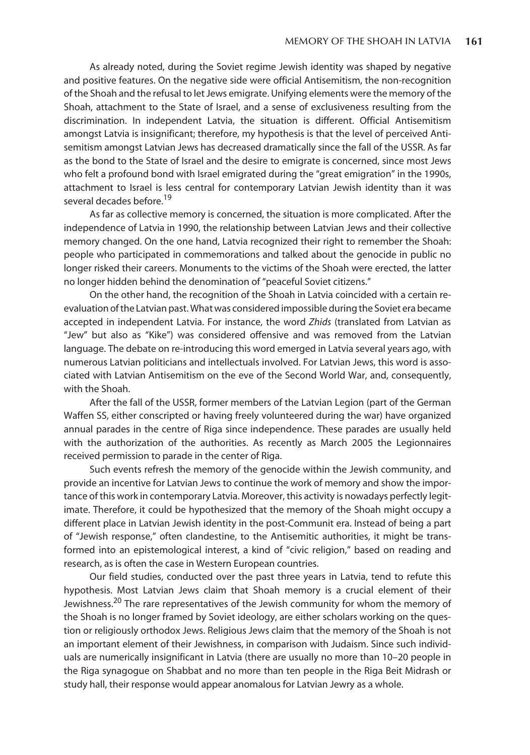As already noted, during the Soviet regime Jewish identity was shaped by negative and positive features. On the negative side were official Antisemitism, the non-recognition of the Shoah and the refusal to let Jews emigrate. Unifying elements were the memory of the Shoah, attachment to the State of Israel, and a sense of exclusiveness resulting from the discrimination. In independent Latvia, the situation is different. Official Antisemitism amongst Latvia is insignificant; therefore, my hypothesis is that the level of perceived Antisemitism amongst Latvian Jews has decreased dramatically since the fall of the USSR. As far as the bond to the State of Israel and the desire to emigrate is concerned, since most Jews who felt a profound bond with Israel emigrated during the "great emigration" in the 1990s, attachment to Israel is less central for contemporary Latvian Jewish identity than it was several decades before.<sup>19</sup>

As far as collective memory is concerned, the situation is more complicated. After the independence of Latvia in 1990, the relationship between Latvian Jews and their collective memory changed. On the one hand, Latvia recognized their right to remember the Shoah: people who participated in commemorations and talked about the genocide in public no longer risked their careers. Monuments to the victims of the Shoah were erected, the latter no longer hidden behind the denomination of "peaceful Soviet citizens."

On the other hand, the recognition of the Shoah in Latvia coincided with a certain reevaluation of the Latvian past. What was considered impossible during the Soviet era became accepted in independent Latvia. For instance, the word *Zhids* (translated from Latvian as "Jew" but also as "Kike") was considered offensive and was removed from the Latvian language. The debate on re-introducing this word emerged in Latvia several years ago, with numerous Latvian politicians and intellectuals involved. For Latvian Jews, this word is associated with Latvian Antisemitism on the eve of the Second World War, and, consequently, with the Shoah.

After the fall of the USSR, former members of the Latvian Legion (part of the German Waffen SS, either conscripted or having freely volunteered during the war) have organized annual parades in the centre of Riga since independence. These parades are usually held with the authorization of the authorities. As recently as March 2005 the Legionnaires received permission to parade in the center of Riga.

Such events refresh the memory of the genocide within the Jewish community, and provide an incentive for Latvian Jews to continue the work of memory and show the importance of this work in contemporary Latvia. Moreover, this activity is nowadays perfectly legitimate. Therefore, it could be hypothesized that the memory of the Shoah might occupy a different place in Latvian Jewish identity in the post-Communit era. Instead of being a part of "Jewish response," often clandestine, to the Antisemitic authorities, it might be transformed into an epistemological interest, a kind of "civic religion," based on reading and research, as is often the case in Western European countries.

Our field studies, conducted over the past three years in Latvia, tend to refute this hypothesis. Most Latvian Jews claim that Shoah memory is a crucial element of their Jewishness.<sup>20</sup> The rare representatives of the Jewish community for whom the memory of the Shoah is no longer framed by Soviet ideology, are either scholars working on the question or religiously orthodox Jews. Religious Jews claim that the memory of the Shoah is not an important element of their Jewishness, in comparison with Judaism. Since such individuals are numerically insignificant in Latvia (there are usually no more than 10–20 people in the Riga synagogue on Shabbat and no more than ten people in the Riga Beit Midrash or study hall, their response would appear anomalous for Latvian Jewry as a whole.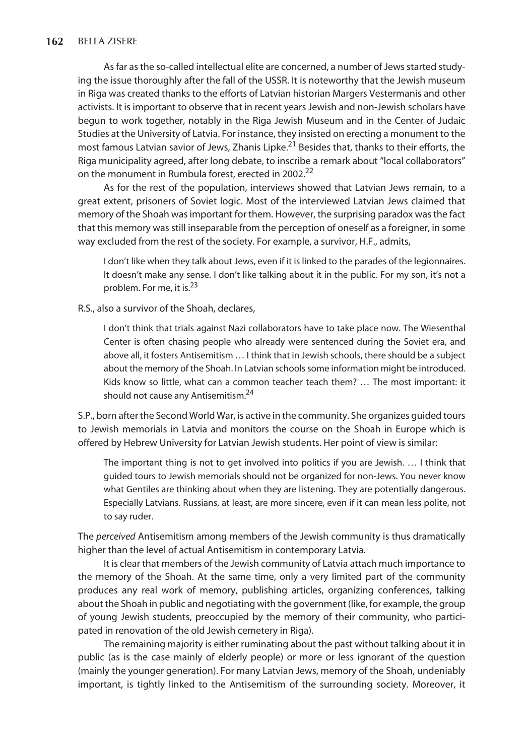As far as the so-called intellectual elite are concerned, a number of Jews started studying the issue thoroughly after the fall of the USSR. It is noteworthy that the Jewish museum in Riga was created thanks to the efforts of Latvian historian Margers Vestermanis and other activists. It is important to observe that in recent years Jewish and non-Jewish scholars have begun to work together, notably in the Riga Jewish Museum and in the Center of Judaic Studies at the University of Latvia. For instance, they insisted on erecting a monument to the most famous Latvian savior of Jews, Zhanis Lipke.<sup>21</sup> Besides that, thanks to their efforts, the Riga municipality agreed, after long debate, to inscribe a remark about "local collaborators" on the monument in Rumbula forest, erected in 2002.<sup>22</sup>

As for the rest of the population, interviews showed that Latvian Jews remain, to a great extent, prisoners of Soviet logic. Most of the interviewed Latvian Jews claimed that memory of the Shoah was important for them. However, the surprising paradox was the fact that this memory was still inseparable from the perception of oneself as a foreigner, in some way excluded from the rest of the society. For example, a survivor, H.F., admits,

I don't like when they talk about Jews, even if it is linked to the parades of the legionnaires. It doesn't make any sense. I don't like talking about it in the public. For my son, it's not a problem. For me, it is.23

R.S., also a survivor of the Shoah, declares,

I don't think that trials against Nazi collaborators have to take place now. The Wiesenthal Center is often chasing people who already were sentenced during the Soviet era, and above all, it fosters Antisemitism … I think that in Jewish schools, there should be a subject about the memory of the Shoah. In Latvian schools some information might be introduced. Kids know so little, what can a common teacher teach them? … The most important: it should not cause any Antisemitism.<sup>24</sup>

S.P., born after the Second World War, is active in the community. She organizes guided tours to Jewish memorials in Latvia and monitors the course on the Shoah in Europe which is offered by Hebrew University for Latvian Jewish students. Her point of view is similar:

The important thing is not to get involved into politics if you are Jewish. … I think that guided tours to Jewish memorials should not be organized for non-Jews. You never know what Gentiles are thinking about when they are listening. They are potentially dangerous. Especially Latvians. Russians, at least, are more sincere, even if it can mean less polite, not to say ruder.

The *perceived* Antisemitism among members of the Jewish community is thus dramatically higher than the level of actual Antisemitism in contemporary Latvia.

It is clear that members of the Jewish community of Latvia attach much importance to the memory of the Shoah. At the same time, only a very limited part of the community produces any real work of memory, publishing articles, organizing conferences, talking about the Shoah in public and negotiating with the government (like, for example, the group of young Jewish students, preoccupied by the memory of their community, who participated in renovation of the old Jewish cemetery in Riga).

The remaining majority is either ruminating about the past without talking about it in public (as is the case mainly of elderly people) or more or less ignorant of the question (mainly the younger generation). For many Latvian Jews, memory of the Shoah, undeniably important, is tightly linked to the Antisemitism of the surrounding society. Moreover, it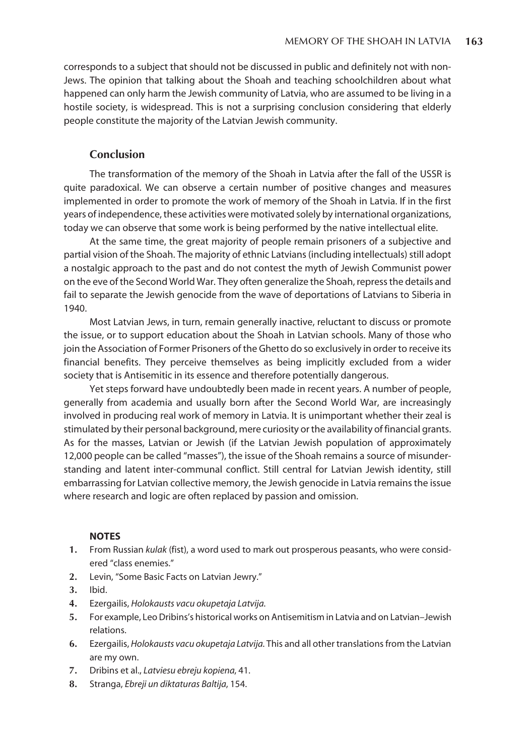corresponds to a subject that should not be discussed in public and definitely not with non-Jews. The opinion that talking about the Shoah and teaching schoolchildren about what happened can only harm the Jewish community of Latvia, who are assumed to be living in a hostile society, is widespread. This is not a surprising conclusion considering that elderly people constitute the majority of the Latvian Jewish community.

#### **Conclusion**

The transformation of the memory of the Shoah in Latvia after the fall of the USSR is quite paradoxical. We can observe a certain number of positive changes and measures implemented in order to promote the work of memory of the Shoah in Latvia. If in the first years of independence, these activities were motivated solely by international organizations, today we can observe that some work is being performed by the native intellectual elite.

At the same time, the great majority of people remain prisoners of a subjective and partial vision of the Shoah. The majority of ethnic Latvians (including intellectuals) still adopt a nostalgic approach to the past and do not contest the myth of Jewish Communist power on the eve of the Second World War. They often generalize the Shoah, repress the details and fail to separate the Jewish genocide from the wave of deportations of Latvians to Siberia in 1940.

Most Latvian Jews, in turn, remain generally inactive, reluctant to discuss or promote the issue, or to support education about the Shoah in Latvian schools. Many of those who join the Association of Former Prisoners of the Ghetto do so exclusively in order to receive its financial benefits. They perceive themselves as being implicitly excluded from a wider society that is Antisemitic in its essence and therefore potentially dangerous.

Yet steps forward have undoubtedly been made in recent years. A number of people, generally from academia and usually born after the Second World War, are increasingly involved in producing real work of memory in Latvia. It is unimportant whether their zeal is stimulated by their personal background, mere curiosity or the availability of financial grants. As for the masses, Latvian or Jewish (if the Latvian Jewish population of approximately 12,000 people can be called "masses"), the issue of the Shoah remains a source of misunderstanding and latent inter-communal conflict. Still central for Latvian Jewish identity, still embarrassing for Latvian collective memory, the Jewish genocide in Latvia remains the issue where research and logic are often replaced by passion and omission.

#### **NOTES**

- **1.** From Russian *kulak* (fist), a word used to mark out prosperous peasants, who were considered "class enemies."
- **2.** Levin, "Some Basic Facts on Latvian Jewry."
- **3.** Ibid.
- **4.** Ezergailis, *Holokausts vacu okupetaja Latvija*.
- **5.** For example, Leo Dribins's historical works on Antisemitism in Latvia and on Latvian–Jewish relations.
- **6.** Ezergailis, *Holokausts vacu okupetaja Latvija*. This and all other translations from the Latvian are my own.
- **7.** Dribins et al., *Latviesu ebreju kopiena*, 41.
- **8.** Stranga, *Ebreji un diktaturas Baltija*, 154.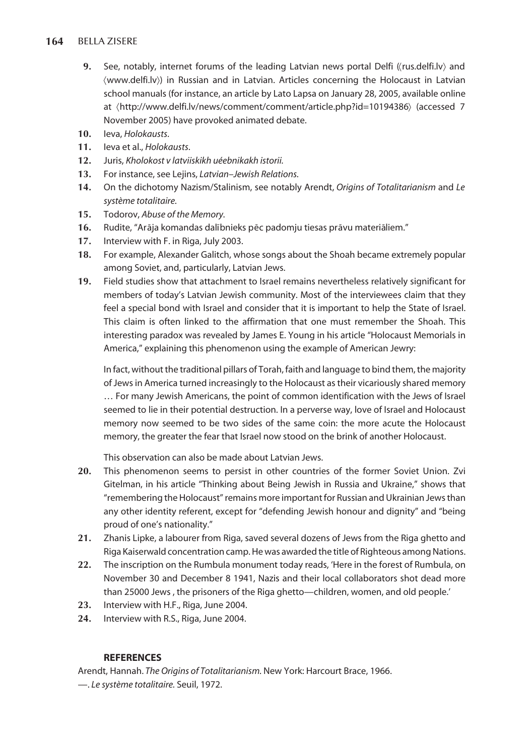- **9.** See, notably, internet forums of the leading Latvian news portal Delfi ((rus.delfi.lv) and 〈www.delfi.lv〉) in Russian and in Latvian. Articles concerning the Holocaust in Latvian school manuals (for instance, an article by Lato Lapsa on January 28, 2005, available online at 〈http://www.delfi.lv/news/comment/comment/article.php?id=10194386〉 (accessed 7 November 2005) have provoked animated debate.
- **10.** Ieva, *Holokausts*.
- **11.** Ieva et al., *Holokausts*.
- **12.** Juris, *Kholokost v latviiskikh uéebnikakh istorii*.
- **13.** For instance, see Lejins, *Latvian–Jewish Relations.*
- **14.** On the dichotomy Nazism/Stalinism, see notably Arendt, *Origins of Totalitarianism* and *Le système totalitaire*.
- **15.** Todorov, *Abuse of the Memory*.
- 16. Rudite, "Arāja komandas dalībnieks pēc padomju tiesas prāvu materiāliem."
- **17.** Interview with F. in Riga, July 2003.
- **18.** For example, Alexander Galitch, whose songs about the Shoah became extremely popular among Soviet, and, particularly, Latvian Jews.
- **19.** Field studies show that attachment to Israel remains nevertheless relatively significant for members of today's Latvian Jewish community. Most of the interviewees claim that they feel a special bond with Israel and consider that it is important to help the State of Israel. This claim is often linked to the affirmation that one must remember the Shoah. This interesting paradox was revealed by James E. Young in his article "Holocaust Memorials in America," explaining this phenomenon using the example of American Jewry:

In fact, without the traditional pillars of Torah, faith and language to bind them, the majority of Jews in America turned increasingly to the Holocaust as their vicariously shared memory … For many Jewish Americans, the point of common identification with the Jews of Israel seemed to lie in their potential destruction. In a perverse way, love of Israel and Holocaust memory now seemed to be two sides of the same coin: the more acute the Holocaust memory, the greater the fear that Israel now stood on the brink of another Holocaust.

This observation can also be made about Latvian Jews.

- **20.** This phenomenon seems to persist in other countries of the former Soviet Union. Zvi Gitelman, in his article "Thinking about Being Jewish in Russia and Ukraine," shows that "remembering the Holocaust" remains more important for Russian and Ukrainian Jews than any other identity referent, except for "defending Jewish honour and dignity" and "being proud of one's nationality."
- **21.** Zhanis Lipke, a labourer from Riga, saved several dozens of Jews from the Riga ghetto and Riga Kaiserwald concentration camp. He was awarded the title of Righteous among Nations.
- **22.** The inscription on the Rumbula monument today reads, 'Here in the forest of Rumbula, on November 30 and December 8 1941, Nazis and their local collaborators shot dead more than 25000 Jews , the prisoners of the Riga ghetto—children, women, and old people.'
- **23.** Interview with H.F., Riga, June 2004.
- **24.** Interview with R.S., Riga, June 2004.

#### **REFERENCES**

Arendt, Hannah. *The Origins of Totalitarianism.* New York: Harcourt Brace, 1966. —. *Le système totalitaire.* Seuil, 1972.